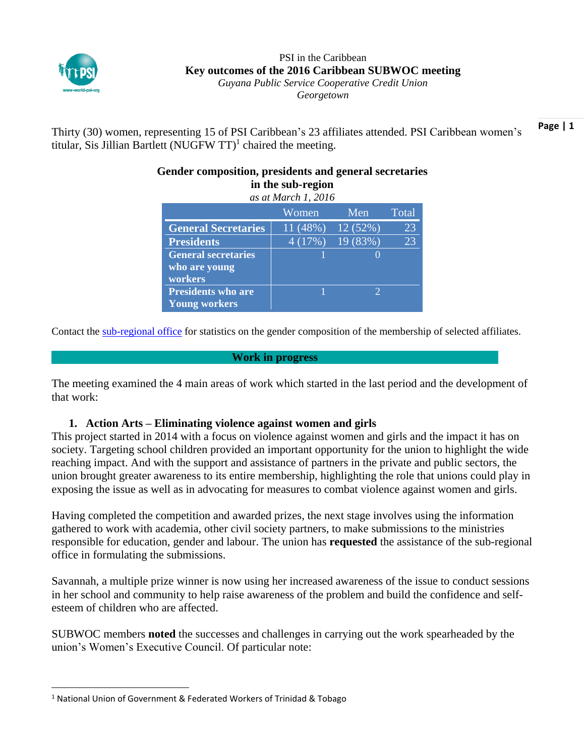

 $\overline{a}$ 

#### PSI in the Caribbean **Key outcomes of the 2016 Caribbean SUBWOC meeting** *Guyana Public Service Cooperative Credit Union Georgetown*

**Page | 1** Thirty (30) women, representing 15 of PSI Caribbean's 23 affiliates attended. PSI Caribbean women's titular, Sis Jillian Bartlett (NUGFW  $TT$ )<sup>1</sup> chaired the meeting.

| in the sub-region<br>as at March 1, 2016 |          |               |       |
|------------------------------------------|----------|---------------|-------|
|                                          | Women    | Men           | Total |
| <b>General Secretaries</b>               | 11 (48%) | 12(52%)       | 23    |
| <b>Presidents</b>                        | 4(17%)   | 19(83%)       | 23    |
| <b>General secretaries</b>               |          |               |       |
| who are young                            |          |               |       |
| workers                                  |          |               |       |
| <b>Presidents who are</b>                |          | $\mathcal{D}$ |       |
| <b>Young workers</b>                     |          |               |       |

# **Gender composition, presidents and general secretaries**

Contact the [sub-regional office](mailto:sandra.massiah@world-psi.org) for statistics on the gender composition of the membership of selected affiliates.

## **Work in progress**

The meeting examined the 4 main areas of work which started in the last period and the development of that work:

## **1. Action Arts – Eliminating violence against women and girls**

This project started in 2014 with a focus on violence against women and girls and the impact it has on society. Targeting school children provided an important opportunity for the union to highlight the wide reaching impact. And with the support and assistance of partners in the private and public sectors, the union brought greater awareness to its entire membership, highlighting the role that unions could play in exposing the issue as well as in advocating for measures to combat violence against women and girls.

Having completed the competition and awarded prizes, the next stage involves using the information gathered to work with academia, other civil society partners, to make submissions to the ministries responsible for education, gender and labour. The union has **requested** the assistance of the sub-regional office in formulating the submissions.

Savannah, a multiple prize winner is now using her increased awareness of the issue to conduct sessions in her school and community to help raise awareness of the problem and build the confidence and selfesteem of children who are affected.

SUBWOC members **noted** the successes and challenges in carrying out the work spearheaded by the union's Women's Executive Council. Of particular note:

<sup>1</sup> National Union of Government & Federated Workers of Trinidad & Tobago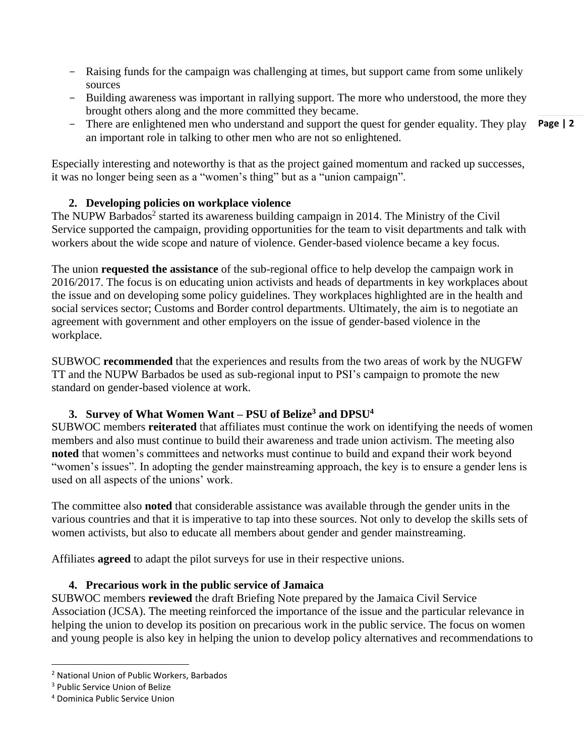- Raising funds for the campaign was challenging at times, but support came from some unlikely sources
- Building awareness was important in rallying support. The more who understood, the more they brought others along and the more committed they became.
- There are enlightened men who understand and support the quest for gender equality. They play an important role in talking to other men who are not so enlightened.

Especially interesting and noteworthy is that as the project gained momentum and racked up successes, it was no longer being seen as a "women's thing" but as a "union campaign".

## **2. Developing policies on workplace violence**

The NUPW Barbados<sup>2</sup> started its awareness building campaign in 2014. The Ministry of the Civil Service supported the campaign, providing opportunities for the team to visit departments and talk with workers about the wide scope and nature of violence. Gender-based violence became a key focus.

The union **requested the assistance** of the sub-regional office to help develop the campaign work in 2016/2017. The focus is on educating union activists and heads of departments in key workplaces about the issue and on developing some policy guidelines. They workplaces highlighted are in the health and social services sector; Customs and Border control departments. Ultimately, the aim is to negotiate an agreement with government and other employers on the issue of gender-based violence in the workplace.

SUBWOC **recommended** that the experiences and results from the two areas of work by the NUGFW TT and the NUPW Barbados be used as sub-regional input to PSI's campaign to promote the new standard on gender-based violence at work.

## **3. Survey of What Women Want – PSU of Belize<sup>3</sup> and DPSU<sup>4</sup>**

SUBWOC members **reiterated** that affiliates must continue the work on identifying the needs of women members and also must continue to build their awareness and trade union activism. The meeting also **noted** that women's committees and networks must continue to build and expand their work beyond "women's issues". In adopting the gender mainstreaming approach, the key is to ensure a gender lens is used on all aspects of the unions' work.

The committee also **noted** that considerable assistance was available through the gender units in the various countries and that it is imperative to tap into these sources. Not only to develop the skills sets of women activists, but also to educate all members about gender and gender mainstreaming.

Affiliates **agreed** to adapt the pilot surveys for use in their respective unions.

## **4. Precarious work in the public service of Jamaica**

SUBWOC members **reviewed** the draft Briefing Note prepared by the Jamaica Civil Service Association (JCSA). The meeting reinforced the importance of the issue and the particular relevance in helping the union to develop its position on precarious work in the public service. The focus on women and young people is also key in helping the union to develop policy alternatives and recommendations to

 $\overline{\phantom{a}}$ 

**Page | 2**

<sup>2</sup> National Union of Public Workers, Barbados

<sup>3</sup> Public Service Union of Belize

<sup>4</sup> Dominica Public Service Union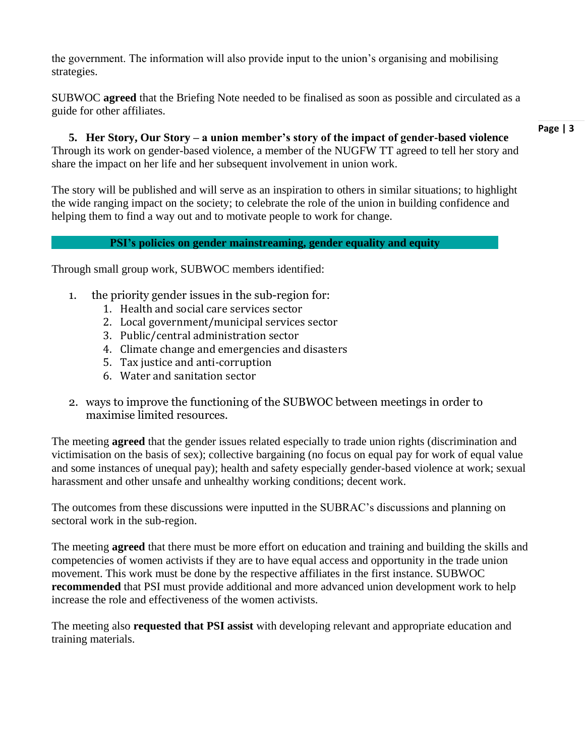the government. The information will also provide input to the union's organising and mobilising strategies.

SUBWOC **agreed** that the Briefing Note needed to be finalised as soon as possible and circulated as a guide for other affiliates.

**5. Her Story, Our Story – a union member's story of the impact of gender-based violence**  Through its work on gender-based violence, a member of the NUGFW TT agreed to tell her story and share the impact on her life and her subsequent involvement in union work.

The story will be published and will serve as an inspiration to others in similar situations; to highlight the wide ranging impact on the society; to celebrate the role of the union in building confidence and helping them to find a way out and to motivate people to work for change.

## **PSI's policies on gender mainstreaming, gender equality and equity**

Through small group work, SUBWOC members identified:

- 1. the priority gender issues in the sub-region for:
	- 1. Health and social care services sector
	- 2. Local government/municipal services sector
	- 3. Public/central administration sector
	- 4. Climate change and emergencies and disasters
	- 5. Tax justice and anti-corruption
	- 6. Water and sanitation sector
- 2. ways to improve the functioning of the SUBWOC between meetings in order to maximise limited resources.

The meeting **agreed** that the gender issues related especially to trade union rights (discrimination and victimisation on the basis of sex); collective bargaining (no focus on equal pay for work of equal value and some instances of unequal pay); health and safety especially gender-based violence at work; sexual harassment and other unsafe and unhealthy working conditions; decent work.

The outcomes from these discussions were inputted in the SUBRAC's discussions and planning on sectoral work in the sub-region.

The meeting **agreed** that there must be more effort on education and training and building the skills and competencies of women activists if they are to have equal access and opportunity in the trade union movement. This work must be done by the respective affiliates in the first instance. SUBWOC **recommended** that PSI must provide additional and more advanced union development work to help increase the role and effectiveness of the women activists.

The meeting also **requested that PSI assist** with developing relevant and appropriate education and training materials.

#### **Page | 3**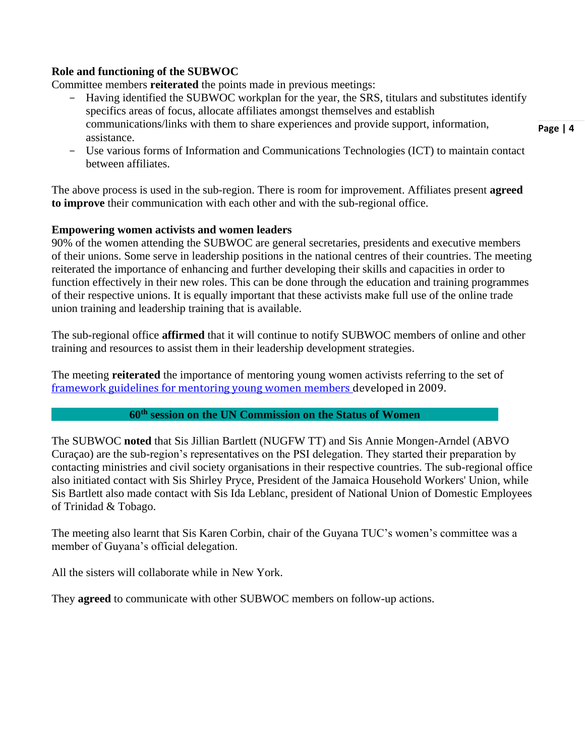## **Role and functioning of the SUBWOC**

Committee members **reiterated** the points made in previous meetings:

- Having identified the SUBWOC workplan for the year, the SRS, titulars and substitutes identify specifics areas of focus, allocate affiliates amongst themselves and establish communications/links with them to share experiences and provide support, information, assistance.
- Use various forms of Information and Communications Technologies (ICT) to maintain contact between affiliates.

The above process is used in the sub-region. There is room for improvement. Affiliates present **agreed to improve** their communication with each other and with the sub-regional office.

#### **Empowering women activists and women leaders**

90% of the women attending the SUBWOC are general secretaries, presidents and executive members of their unions. Some serve in leadership positions in the national centres of their countries. The meeting reiterated the importance of enhancing and further developing their skills and capacities in order to function effectively in their new roles. This can be done through the education and training programmes of their respective unions. It is equally important that these activists make full use of the online trade union training and leadership training that is available.

The sub-regional office **affirmed** that it will continue to notify SUBWOC members of online and other training and resources to assist them in their leadership development strategies.

The meeting **reiterated** the importance of mentoring young women activists referring to the set of [framework guidelines for mentoring young women members](http://www.world-psi.org/sites/default/files/framework_guidelines_on_mentoring_young_women_workers.pdf) developed in 2009.

#### **60th session on the UN Commission on the Status of Women**

The SUBWOC **noted** that Sis Jillian Bartlett (NUGFW TT) and Sis Annie Mongen-Arndel (ABVO Curaçao) are the sub-region's representatives on the PSI delegation. They started their preparation by contacting ministries and civil society organisations in their respective countries. The sub-regional office also initiated contact with Sis Shirley Pryce, President of the Jamaica Household Workers' Union, while Sis Bartlett also made contact with Sis Ida Leblanc, president of National Union of Domestic Employees of Trinidad & Tobago.

The meeting also learnt that Sis Karen Corbin, chair of the Guyana TUC's women's committee was a member of Guyana's official delegation.

All the sisters will collaborate while in New York.

They **agreed** to communicate with other SUBWOC members on follow-up actions.

**Page | 4**